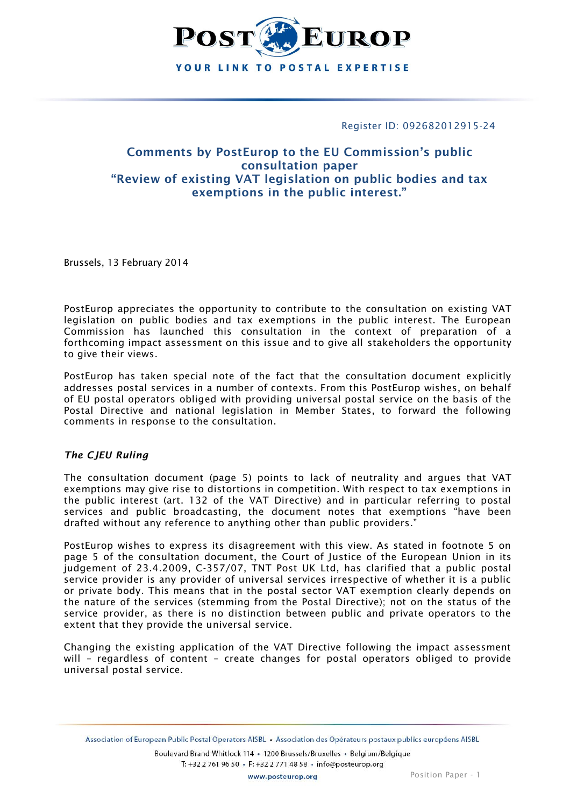

Register ID: 092682012915-24

# **Comments by PostEurop to the EU Commission's public consultation paper "Review of existing VAT legislation on public bodies and tax exemptions in the public interest."**

Brussels, 13 February 2014

PostEurop appreciates the opportunity to contribute to the consultation on existing VAT legislation on public bodies and tax exemptions in the public interest. The European Commission has launched this consultation in the context of preparation of a forthcoming impact assessment on this issue and to give all stakeholders the opportunity to give their views.

PostEurop has taken special note of the fact that the consultation document explicitly addresses postal services in a number of contexts. From this PostEurop wishes, on behalf of EU postal operators obliged with providing universal postal service on the basis of the Postal Directive and national legislation in Member States, to forward the following comments in response to the consultation.

## *The CJEU Ruling*

The consultation document (page 5) points to lack of neutrality and argues that VAT exemptions may give rise to distortions in competition. With respect to tax exemptions in the public interest (art. 132 of the VAT Directive) and in particular referring to postal services and public broadcasting, the document notes that exemptions "have been drafted without any reference to anything other than public providers."

PostEurop wishes to express its disagreement with this view. As stated in footnote 5 on page 5 of the consultation document, the Court of Justice of the European Union in its judgement of 23.4.2009, C-357/07, TNT Post UK Ltd, has clarified that a public postal service provider is any provider of universal services irrespective of whether it is a public or private body. This means that in the postal sector VAT exemption clearly depends on the nature of the services (stemming from the Postal Directive); not on the status of the service provider, as there is no distinction between public and private operators to the extent that they provide the universal service.

Changing the existing application of the VAT Directive following the impact assessment will – regardless of content – create changes for postal operators obliged to provide universal postal service.

Association of European Public Postal Operators AISBL · Association des Opérateurs postaux publics européens AISBL

Boulevard Brand Whitlock 114 · 1200 Brussels/Bruxelles · Belgium/Belgique T: +32 2 761 96 50 · F: +32 2 771 48 58 · info@posteurop.org

www.posteurop.org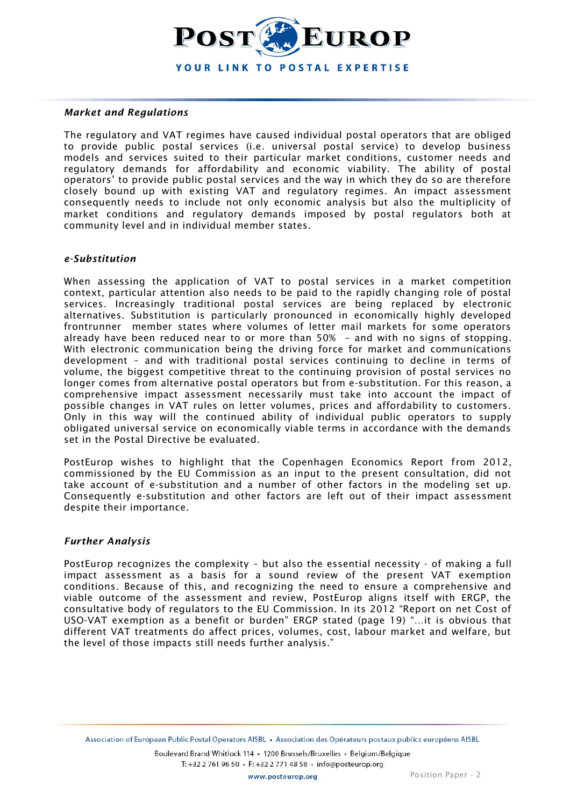

#### *Market and Regulations*

The regulatory and VAT regimes have caused individual postal operators that are obliged to provide public postal services (i.e. universal postal service) to develop business models and services suited to their particular market conditions, customer needs and regulatory demands for affordability and economic viability. The ability of postal operators' to provide public postal services and the way in which they do so are therefore closely bound up with existing VAT and regulatory regimes. An impact assessment consequently needs to include not only economic analysis but also the multiplicity of market conditions and regulatory demands imposed by postal regulators both at community level and in individual member states.

## *e-Substitution*

When assessing the application of VAT to postal services in a market competition context, particular attention also needs to be paid to the rapidly changing role of postal services. Increasingly traditional postal services are being replaced by electronic alternatives. Substitution is particularly pronounced in economically highly developed frontrunner member states where volumes of letter mail markets for some operators already have been reduced near to or more than 50% – and with no signs of stopping. With electronic communication being the driving force for market and communications development – and with traditional postal services continuing to decline in terms of volume, the biggest competitive threat to the continuing provision of postal services no longer comes from alternative postal operators but from e-substitution. For this reason, a comprehensive impact assessment necessarily must take into account the impact of possible changes in VAT rules on letter volumes, prices and affordability to customers. Only in this way will the continued ability of individual public operators to supply obligated universal service on economically viable terms in accordance with the demands set in the Postal Directive be evaluated.

PostEurop wishes to highlight that the Copenhagen Economics Report from 2012, commissioned by the EU Commission as an input to the present consultation, did not take account of e-substitution and a number of other factors in the modeling set up. Consequently e-substitution and other factors are left out of their impact assessment despite their importance.

## *Further Analysis*

PostEurop recognizes the complexity – but also the essential necessity - of making a full impact assessment as a basis for a sound review of the present VAT exemption conditions. Because of this, and recognizing the need to ensure a comprehensive and viable outcome of the assessment and review, PostEurop aligns itself with ERGP, the consultative body of regulators to the EU Commission. In its 2012 "Report on net Cost of USO-VAT exemption as a benefit or burden" ERGP stated (page 19) "…it is obvious that different VAT treatments do affect prices, volumes, cost, labour market and welfare, but the level of those impacts still needs further analysis."

Boulevard Brand Whitlock 114 · 1200 Brussels/Bruxelles · Belgium/Belgique T: +32 2 761 96 50 · F: +32 2 771 48 58 · info@posteurop.org